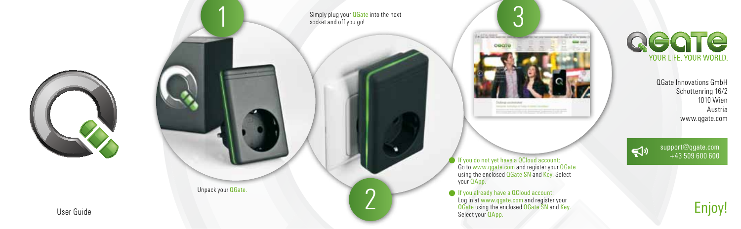



Simply plug your **QGate** into the next socket and off you go!

 $\epsilon$ 



If you do not yet have a QCloud account: Go to www.qgate.com and register your QGate using the enclosed OGate SN and Key. Select your **QApp.** 

If you already have a QCloud account: Log in at www.qgate.com and register your<br>**QGate** using the enclosed **QGate SN** and Key.



QGate Innovations GmbH Schottenring 16/2 1010 Wien Austria www.qgate.com

Enjoy!

support@qgate.com  $\triangleleft$ +43 509 600 600